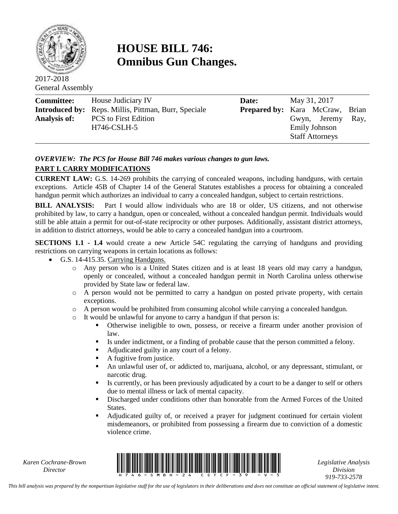

# **HOUSE BILL 746: Omnibus Gun Changes.**

2017-2018 General Assembly

| <b>Committee:</b>   | House Judiciary IV                                          | Date: | May 31, 2017                           |      |
|---------------------|-------------------------------------------------------------|-------|----------------------------------------|------|
|                     | <b>Introduced by:</b> Reps. Millis, Pittman, Burr, Speciale |       | <b>Prepared by:</b> Kara McCraw, Brian |      |
| <b>Analysis of:</b> | <b>PCS</b> to First Edition                                 |       | Gwyn, Jeremy                           | Ray, |
|                     | H746-CSLH-5                                                 |       | Emily Johnson                          |      |
|                     |                                                             |       | <b>Staff Attorneys</b>                 |      |

## *OVERVIEW: The PCS for House Bill 746 makes various changes to gun laws.*

## **PART I. CARRY MODIFICATIONS**

**CURRENT LAW:** G.S. 14-269 prohibits the carrying of concealed weapons, including handguns, with certain exceptions. Article 45B of Chapter 14 of the General Statutes establishes a process for obtaining a concealed handgun permit which authorizes an individual to carry a concealed handgun, subject to certain restrictions.

**BILL ANALYSIS:** Part I would allow individuals who are 18 or older, US citizens, and not otherwise prohibited by law, to carry a handgun, open or concealed, without a concealed handgun permit. Individuals would still be able attain a permit for out-of-state reciprocity or other purposes. Additionally, assistant district attorneys, in addition to district attorneys, would be able to carry a concealed handgun into a courtroom.

**SECTIONS 1.1 - 1.4** would create a new Article 54C regulating the carrying of handguns and providing restrictions on carrying weapons in certain locations as follows:

- G.S. 14-415.35. Carrying Handguns.
	- o Any person who is a United States citizen and is at least 18 years old may carry a handgun, openly or concealed, without a concealed handgun permit in North Carolina unless otherwise provided by State law or federal law.
	- o A person would not be permitted to carry a handgun on posted private property, with certain exceptions.
	- o A person would be prohibited from consuming alcohol while carrying a concealed handgun.
	- o It would be unlawful for anyone to carry a handgun if that person is:
		- Otherwise ineligible to own, possess, or receive a firearm under another provision of law.
		- Is under indictment, or a finding of probable cause that the person committed a felony.
		- Adjudicated guilty in any court of a felony.
		- A fugitive from justice.
		- An unlawful user of, or addicted to, marijuana, alcohol, or any depressant, stimulant, or narcotic drug.
		- Is currently, or has been previously adjudicated by a court to be a danger to self or others due to mental illness or lack of mental capacity.
		- Discharged under conditions other than honorable from the Armed Forces of the United States.
		- Adjudicated guilty of, or received a prayer for judgment continued for certain violent misdemeanors, or prohibited from possessing a firearm due to conviction of a domestic violence crime.

*Karen Cochrane-Brown*



*Legislative Analysis Division 919-733-2578*

*This bill analysis was prepared by the nonpartisan legislative staff for the use of legislators in their deliberations and does not constitute an official statement of legislative intent.*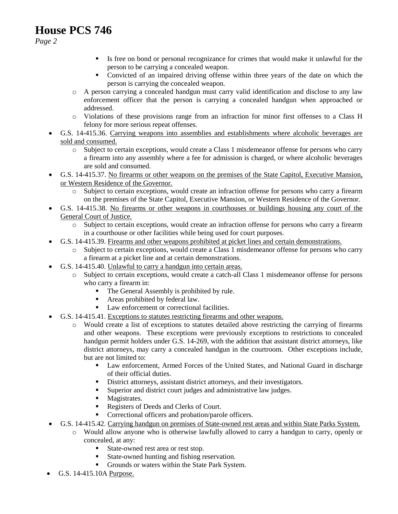*Page 2*

- If Its free on bond or personal recognizance for crimes that would make it unlawful for the person to be carrying a concealed weapon.
- Convicted of an impaired driving offense within three years of the date on which the person is carrying the concealed weapon.
- o A person carrying a concealed handgun must carry valid identification and disclose to any law enforcement officer that the person is carrying a concealed handgun when approached or addressed.
- o Violations of these provisions range from an infraction for minor first offenses to a Class H felony for more serious repeat offenses.
- G.S. 14-415.36. Carrying weapons into assemblies and establishments where alcoholic beverages are sold and consumed.
	- o Subject to certain exceptions, would create a Class 1 misdemeanor offense for persons who carry a firearm into any assembly where a fee for admission is charged, or where alcoholic beverages are sold and consumed.
- G.S. 14-415.37. No firearms or other weapons on the premises of the State Capitol, Executive Mansion, or Western Residence of the Governor.
	- o Subject to certain exceptions, would create an infraction offense for persons who carry a firearm on the premises of the State Capitol, Executive Mansion, or Western Residence of the Governor.
- G.S. 14-415.38. No firearms or other weapons in courthouses or buildings housing any court of the General Court of Justice.
	- o Subject to certain exceptions, would create an infraction offense for persons who carry a firearm in a courthouse or other facilities while being used for court purposes.
- G.S. 14-415.39. Firearms and other weapons prohibited at picket lines and certain demonstrations.
	- o Subject to certain exceptions, would create a Class 1 misdemeanor offense for persons who carry a firearm at a picket line and at certain demonstrations.
- G.S. 14-415.40. Unlawful to carry a handgun into certain areas.
	- o Subject to certain exceptions, would create a catch-all Class 1 misdemeanor offense for persons who carry a firearm in:
		- The General Assembly is prohibited by rule.
		- Areas prohibited by federal law.
		- **Law enforcement or correctional facilities.**
- G.S. 14-415.41. Exceptions to statutes restricting firearms and other weapons.
	- o Would create a list of exceptions to statutes detailed above restricting the carrying of firearms and other weapons. These exceptions were previously exceptions to restrictions to concealed handgun permit holders under G.S. 14-269, with the addition that assistant district attorneys, like district attorneys, may carry a concealed handgun in the courtroom. Other exceptions include, but are not limited to:
		- Law enforcement, Armed Forces of the United States, and National Guard in discharge of their official duties.
		- District attorneys, assistant district attorneys, and their investigators.
		- Superior and district court judges and administrative law judges.
		- **Magistrates.**
		- Registers of Deeds and Clerks of Court.
		- **Correctional officers and probation/parole officers.**
- G.S. 14-415.42. Carrying handgun on premises of State-owned rest areas and within State Parks System.
	- o Would allow anyone who is otherwise lawfully allowed to carry a handgun to carry, openly or concealed, at any:
		- State-owned rest area or rest stop.
		- State-owned hunting and fishing reservation.
		- Grounds or waters within the State Park System.
- $\bullet$  G.S. 14-415.10A Purpose.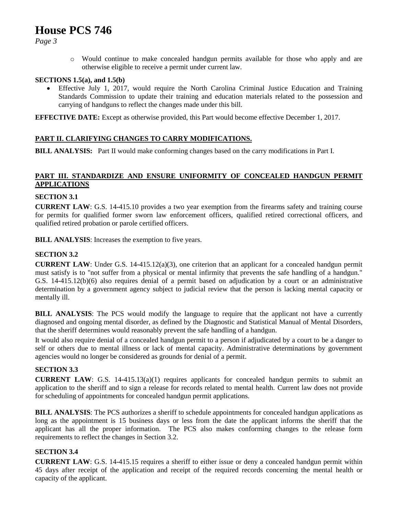*Page 3*

o Would continue to make concealed handgun permits available for those who apply and are otherwise eligible to receive a permit under current law.

#### **SECTIONS 1.5(a), and 1.5(b)**

 Effective July 1, 2017, would require the North Carolina Criminal Justice Education and Training Standards Commission to update their training and education materials related to the possession and carrying of handguns to reflect the changes made under this bill.

**EFFECTIVE DATE:** Except as otherwise provided, this Part would become effective December 1, 2017.

### **PART II. CLARIFYING CHANGES TO CARRY MODIFICATIONS.**

**BILL ANALYSIS:** Part II would make conforming changes based on the carry modifications in Part I.

### **PART III. STANDARDIZE AND ENSURE UNIFORMITY OF CONCEALED HANDGUN PERMIT APPLICATIONS**

### **SECTION 3.1**

**CURRENT LAW**: G.S. 14-415.10 provides a two year exemption from the firearms safety and training course for permits for qualified former sworn law enforcement officers, qualified retired correctional officers, and qualified retired probation or parole certified officers.

**BILL ANALYSIS**: Increases the exemption to five years.

### **SECTION 3.2**

**CURRENT LAW**: Under G.S. 14-415.12(a)(3), one criterion that an applicant for a concealed handgun permit must satisfy is to "not suffer from a physical or mental infirmity that prevents the safe handling of a handgun." G.S. 14-415.12(b)(6) also requires denial of a permit based on adjudication by a court or an administrative determination by a government agency subject to judicial review that the person is lacking mental capacity or mentally ill.

**BILL ANALYSIS**: The PCS would modify the language to require that the applicant not have a currently diagnosed and ongoing mental disorder, as defined by the Diagnostic and Statistical Manual of Mental Disorders, that the sheriff determines would reasonably prevent the safe handling of a handgun.

It would also require denial of a concealed handgun permit to a person if adjudicated by a court to be a danger to self or others due to mental illness or lack of mental capacity. Administrative determinations by government agencies would no longer be considered as grounds for denial of a permit.

#### **SECTION 3.3**

**CURRENT LAW**: G.S. 14-415.13(a)(1) requires applicants for concealed handgun permits to submit an application to the sheriff and to sign a release for records related to mental health. Current law does not provide for scheduling of appointments for concealed handgun permit applications.

**BILL ANALYSIS:** The PCS authorizes a sheriff to schedule appointments for concealed handgun applications as long as the appointment is 15 business days or less from the date the applicant informs the sheriff that the applicant has all the proper information. The PCS also makes conforming changes to the release form requirements to reflect the changes in Section 3.2.

#### **SECTION 3.4**

**CURRENT LAW**: G.S. 14-415.15 requires a sheriff to either issue or deny a concealed handgun permit within 45 days after receipt of the application and receipt of the required records concerning the mental health or capacity of the applicant.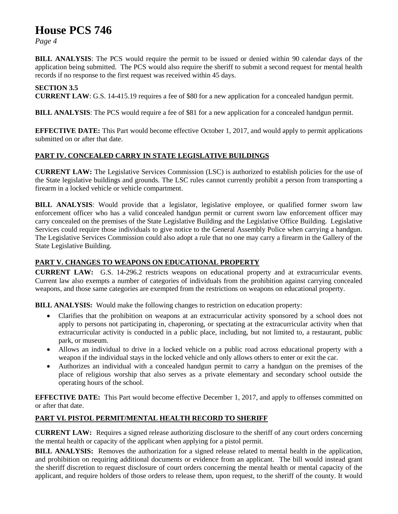*Page 4*

**BILL ANALYSIS**: The PCS would require the permit to be issued or denied within 90 calendar days of the application being submitted. The PCS would also require the sheriff to submit a second request for mental health records if no response to the first request was received within 45 days.

### **SECTION 3.5**

**CURRENT LAW**: G.S. 14-415.19 requires a fee of \$80 for a new application for a concealed handgun permit.

**BILL ANALYSIS:** The PCS would require a fee of \$81 for a new application for a concealed handgun permit.

**EFFECTIVE DATE:** This Part would become effective October 1, 2017, and would apply to permit applications submitted on or after that date.

### **PART IV. CONCEALED CARRY IN STATE LEGISLATIVE BUILDINGS**

**CURRENT LAW:** The Legislative Services Commission (LSC) is authorized to establish policies for the use of the State legislative buildings and grounds. The LSC rules cannot currently prohibit a person from transporting a firearm in a locked vehicle or vehicle compartment.

**BILL ANALYSIS:** Would provide that a legislator, legislative employee, or qualified former sworn law enforcement officer who has a valid concealed handgun permit or current sworn law enforcement officer may carry concealed on the premises of the State Legislative Building and the Legislative Office Building. Legislative Services could require those individuals to give notice to the General Assembly Police when carrying a handgun. The Legislative Services Commission could also adopt a rule that no one may carry a firearm in the Gallery of the State Legislative Building.

### **PART V. CHANGES TO WEAPONS ON EDUCATIONAL PROPERTY**

**CURRENT LAW:** G.S. 14-296.2 restricts weapons on educational property and at extracurricular events. Current law also exempts a number of categories of individuals from the prohibition against carrying concealed weapons, and those same categories are exempted from the restrictions on weapons on educational property.

**BILL ANALYSIS:** Would make the following changes to restriction on education property:

- Clarifies that the prohibition on weapons at an extracurricular activity sponsored by a school does not apply to persons not participating in, chaperoning, or spectating at the extracurricular activity when that extracurricular activity is conducted in a public place, including, but not limited to, a restaurant, public park, or museum.
- Allows an individual to drive in a locked vehicle on a public road across educational property with a weapon if the individual stays in the locked vehicle and only allows others to enter or exit the car.
- Authorizes an individual with a concealed handgun permit to carry a handgun on the premises of the place of religious worship that also serves as a private elementary and secondary school outside the operating hours of the school.

**EFFECTIVE DATE:** This Part would become effective December 1, 2017, and apply to offenses committed on or after that date.

### **PART VI. PISTOL PERMIT/MENTAL HEALTH RECORD TO SHERIFF**

**CURRENT LAW:** Requires a signed release authorizing disclosure to the sheriff of any court orders concerning the mental health or capacity of the applicant when applying for a pistol permit.

**BILL ANALYSIS:** Removes the authorization for a signed release related to mental health in the application, and prohibition on requiring additional documents or evidence from an applicant. The bill would instead grant the sheriff discretion to request disclosure of court orders concerning the mental health or mental capacity of the applicant, and require holders of those orders to release them, upon request, to the sheriff of the county. It would